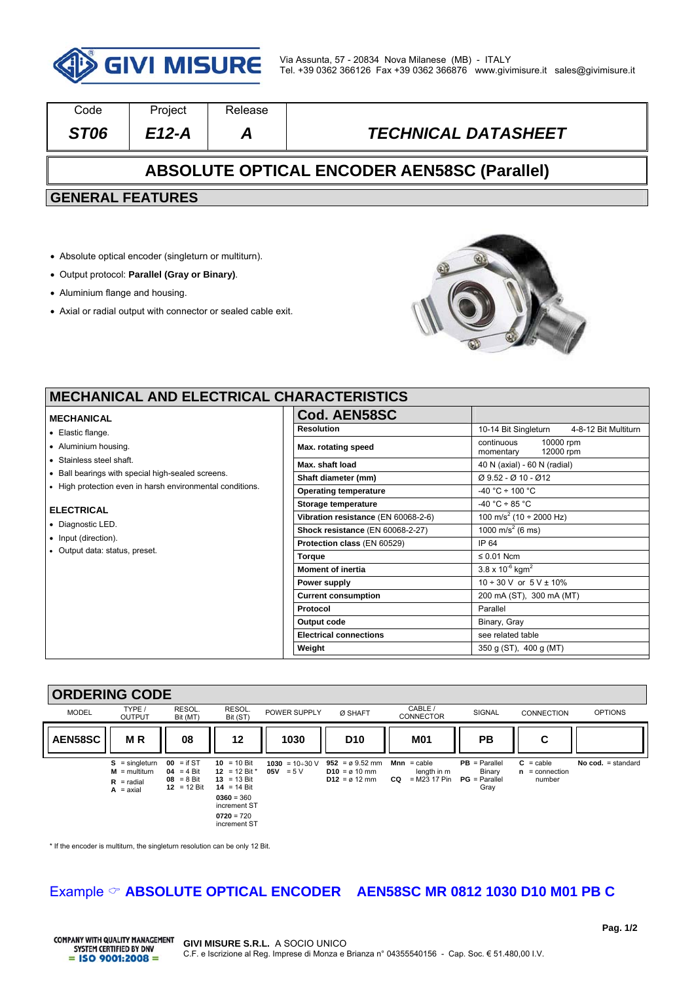

| Code                                               | Project | <b>Release</b> |                            |  |  |  |
|----------------------------------------------------|---------|----------------|----------------------------|--|--|--|
| ST <sub>06</sub>                                   | $E12-A$ | А              | <b>TECHNICAL DATASHEET</b> |  |  |  |
| <b>ABSOLUTE OPTICAL ENCODER AEN58SC (Parallel)</b> |         |                |                            |  |  |  |
| <b>GENERAL FEATURES</b>                            |         |                |                            |  |  |  |
|                                                    |         |                |                            |  |  |  |

- Absolute optical encoder (singleturn or multiturn).
- Output protocol: **Parallel (Gray or Binary)**.
- Aluminium flange and housing.
- Axial or radial output with connector or sealed cable exit.



╕

# **MECHANICAL AND ELECTRICAL CHARACTERISTICS**

#### **MECHANICAL**

- Elastic flange.
- Aluminium housing.
- Stainless steel shaft.
- Ball bearings with special high-sealed screens.
- High protection even in harsh environmental conditions.

#### **ELECTRICAL**

- Diagnostic LED.
- Input (direction).
- Output data: status, preset.

| 1ARAU I ERIƏTIUƏ                    |                                                       |  |  |
|-------------------------------------|-------------------------------------------------------|--|--|
| Cod. AEN58SC                        |                                                       |  |  |
| <b>Resolution</b>                   | 10-14 Bit Singleturn<br>4-8-12 Bit Multiturn          |  |  |
| Max. rotating speed                 | continuous<br>10000 rpm<br>12000 rpm<br>momentary     |  |  |
| Max. shaft load                     | 40 N (axial) - 60 N (radial)                          |  |  |
| Shaft diameter (mm)                 | Ø 9.52 - Ø 10 - Ø 12                                  |  |  |
| <b>Operating temperature</b>        | $-40 °C \div 100 °C$                                  |  |  |
| Storage temperature                 | $-40 °C \div 85 °C$                                   |  |  |
| Vibration resistance (EN 60068-2-6) | $\frac{100 \text{ m/s}^2}{(10 \div 2000 \text{ Hz})}$ |  |  |
| Shock resistance (EN 60068-2-27)    | $\frac{1000 \text{ m/s}^2}{6 \text{ ms}}$             |  |  |
| Protection class (EN 60529)         | IP 64                                                 |  |  |
| <b>Torque</b>                       | $\leq 0.01$ Ncm                                       |  |  |
| <b>Moment of inertia</b>            | $3.8 \times 10^{-6}$ kgm <sup>2</sup>                 |  |  |
| Power supply                        | $10 \div 30$ V or $5$ V $\pm$ 10%                     |  |  |
| <b>Current consumption</b>          | 200 mA (ST), 300 mA (MT)                              |  |  |
| Protocol                            | Parallel                                              |  |  |
| Output code                         | Binary, Gray                                          |  |  |
| <b>Electrical connections</b>       | see related table                                     |  |  |
| Weight                              | 350 g (ST), 400 g (MT)                                |  |  |

### **ORDERING CODE**



\* If the encoder is multiturn, the singleturn resolution can be only 12 Bit.

# Example  $\circ$  **ABSOLUTE OPTICAL ENCODER** AEN58SC MR 0812 1030 D10 M01 PB C